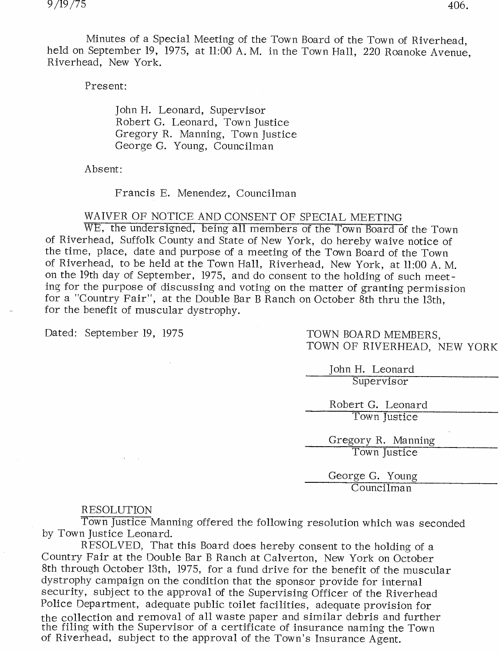Minutes of a Special Meeting of the Town Board of the Town of Riverhead, held on September 19, 1975, at 11:00 A. M. in the Town Hall, <sup>220</sup> Roanoke Avenue, Riverhead, New York.

Present:

John H. Leonard, Supervisor Robert G. Leonard, Town Justice Gregory R. Manning, Town Justice George G. Young, Councilman

Absent:

Francis E. Menendez, Councilman

WAIVER OF NOTICE AND CONSENT OF SPECIAL MEETING

WE, the undersigned, being all members of the Town Board of the Town of Riverhead, Suffolk County and State of New York, do hereby waive notice of the time, place, date and purpose of a meeting of the Town Board of the Town of Riverhead, to be held at the Town Hall, Riverhead, New York, at 11:00 A. M. on the 19th day of September, 1975, and do consent to the holding of such meeting for the purpose of discussing and voting on the matter of granting permission for a "Country Fair", at the Double Bar B Ranch on October 8th thru the 13th, for the benefit of muscular dystrophy.

Dated: September 19, 1975 TOWN BOARD MEMBERS.

TOWN OF RIVERHEAD, NEW YORK

John H. Leonard Supervisor

Robert G. Leonard Town Justice

Gregory R. Manning Town Justice

George G. Young Councilman

## RESOLUTION

Town Justice Manning offered the following resolution which was seconded by Town Justice Leonard.

R ESOLVED, That this Board does hereby consent to the holding of a Country Fair at the Double Bar B Ranch at Calverton, New York on October 8th through October 13th, 1975, for a fund drive for the benefit of the muscular dystrophy campaign on the condition that the sponsor provide for internal security, subject to the approval of the Supervising Officer of the Riverhead Police Department, adequate public toilet facilities, adequate provision for the collection and removal of all waste paper and similar debris and further the filing with the Supervisor of a certificate of insurance naming the Town of Riverhead, subject to the approval of the Town's Insurance Agent.